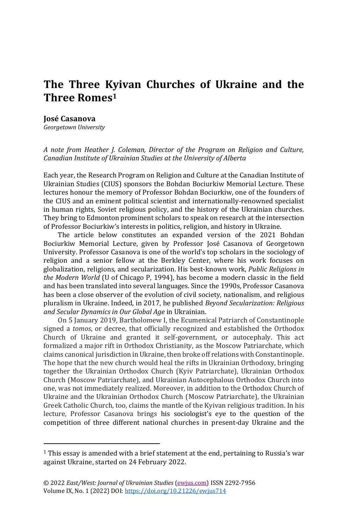# **The Three Kyivan Churches of Ukraine and the Three Romes<sup>1</sup>**

### **José Casanova**

*Georgetown University*

*A note from Heather J. Coleman, Director of the Program on Religion and Culture, Canadian Institute of Ukrainian Studies at the University of Alberta*

Each year, the Research Program on Religion and Culture at the Canadian Institute of Ukrainian Studies (CIUS) sponsors the Bohdan Bociurkiw Memorial Lecture. These lectures honour the memory of Professor Bohdan Bociurkiw, one of the founders of the CIUS and an eminent political scientist and internationally-renowned specialist in human rights, Soviet religious policy, and the history of the Ukrainian churches. They bring to Edmonton prominent scholars to speak on research at the intersection of Professor Bociurkiw's interests in politics, religion, and history in Ukraine.

The article below constitutes an expanded version of the 2021 Bohdan Bociurkiw Memorial Lecture, given by Professor José Casanova of Georgetown University. Professor Casanova is one of the world's top scholars in the sociology of religion and a senior fellow at the Berkley Center, where his work focuses on globalization, religions, and secularization. His best-known work, *Public Religions in the Modern World* (U of Chicago P, 1994), has become a modern classic in the field and has been translated into several languages. Since the 1990s, Professor Casanova has been a close observer of the evolution of civil society, nationalism, and religious pluralism in Ukraine. Indeed, in 2017, he published *Beyond Secularization: Religious and Secular Dynamics in Our Global Age* in Ukrainian.

On 5 January 2019, Bartholomew I, the Ecumenical Patriarch of Constantinople signed a *tomos*, or decree, that officially recognized and established the Orthodox Church of Ukraine and granted it self-government, or autocephaly. This act formalized a major rift in Orthodox Christianity, as the Moscow Patriarchate, which claims canonical jurisdiction in Ukraine, then broke off relations with Constantinople. The hope that the new church would heal the rifts in Ukrainian Orthodoxy, bringing together the Ukrainian Orthodox Church (Kyiv Patriarchate), Ukrainian Orthodox Church (Moscow Patriarchate), and Ukrainian Autocephalous Orthodox Church into one, was not immediately realized. Moreover, in addition to the Orthodox Church of Ukraine and the Ukrainian Orthodox Church (Moscow Patriarchate), the Ukrainian Greek Catholic Church, too, claims the mantle of the Kyivan religious tradition. In his lecture, Professor Casanova brings his sociologist's eye to the question of the competition of three different national churches in present-day Ukraine and the

<sup>1</sup> This essay is amended with a brief statement at the end, pertaining to Russia's war against Ukraine, started on 24 February 2022.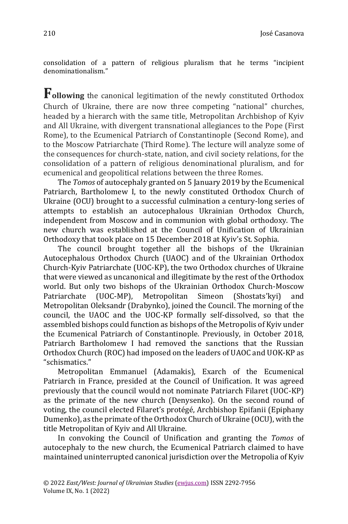consolidation of a pattern of religious pluralism that he terms "incipient denominationalism."

**Following** the canonical legitimation of the newly constituted Orthodox Church of Ukraine, there are now three competing "national" churches, headed by a hierarch with the same title, Metropolitan Archbishop of Kyiv and All Ukraine, with divergent transnational allegiances to the Pope (First Rome), to the Ecumenical Patriarch of Constantinople (Second Rome), and to the Moscow Patriarchate (Third Rome). The lecture will analyze some of the consequences for church-state, nation, and civil society relations, for the consolidation of a pattern of religious denominational pluralism, and for ecumenical and geopolitical relations between the three Romes.

The *Tomos* of autocephaly granted on 5 January 2019 by the Ecumenical Patriarch, Bartholomew I, to the newly constituted Orthodox Church of Ukraine (OCU) brought to a successful culmination a century-long series of attempts to establish an autocephalous Ukrainian Orthodox Church, independent from Moscow and in communion with global orthodoxy. The new church was established at the Council of Unification of Ukrainian Orthodoxy that took place on 15 December 2018 at Kyiv's St. Sophia.

The council brought together all the bishops of the Ukrainian Autocephalous Orthodox Church (UAOC) and of the Ukrainian Orthodox Church-Kyiv Patriarchate (UOC-KP), the two Orthodox churches of Ukraine that were viewed as uncanonical and illegitimate by the rest of the Orthodox world. But only two bishops of the Ukrainian Orthodox Church-Moscow Patriarchate (UOC-MP), Metropolitan Simeon (Shostats'kyi) and Metropolitan Oleksandr (Drabynko), joined the Council. The morning of the council, the UAOC and the UOC-KP formally self-dissolved, so that the assembled bishops could function as bishops of the Metropolis of Kyiv under the Ecumenical Patriarch of Constantinople. Previously, in October 2018, Patriarch Bartholomew I had removed the sanctions that the Russian Orthodox Church (ROC) had imposed on the leaders of UAOC and UOK-KP as "schismatics."

Metropolitan Emmanuel (Adamakis), Exarch of the Ecumenical Patriarch in France, presided at the Council of Unification. It was agreed previously that the council would not nominate Patriarch Filaret (UOC-KP) as the primate of the new church (Denysenko). On the second round of voting, the council elected Filaret's protégé, Archbishop Epifanii (Epiphany Dumenko), as the primate of the Orthodox Church of Ukraine (OCU), with the title Metropolitan of Kyiv and All Ukraine.

In convoking the Council of Unification and granting the *Tomos* of autocephaly to the new church, the Ecumenical Patriarch claimed to have maintained uninterrupted canonical jurisdiction over the Metropolia of Kyiv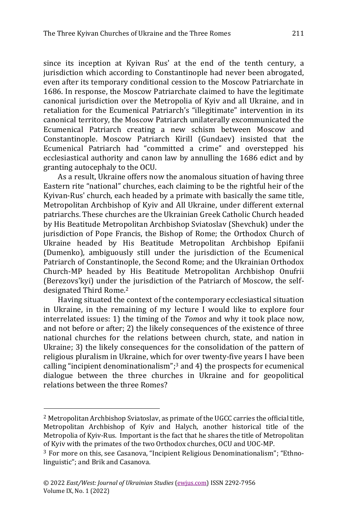since its inception at Kyivan Rus' at the end of the tenth century, a jurisdiction which according to Constantinople had never been abrogated, even after its temporary conditional cession to the Moscow Patriarchate in 1686. In response, the Moscow Patriarchate claimed to have the legitimate canonical jurisdiction over the Metropolia of Kyiv and all Ukraine, and in retaliation for the Ecumenical Patriarch's "illegitimate" intervention in its canonical territory, the Moscow Patriarch unilaterally excommunicated the Ecumenical Patriarch creating a new schism between Moscow and Constantinople. Moscow Patriarch Kirill (Gundaev) insisted that the Ecumenical Patriarch had "committed a crime" and overstepped his ecclesiastical authority and canon law by annulling the 1686 edict and by granting autocephaly to the OCU.

As a result, Ukraine offers now the anomalous situation of having three Eastern rite "national" churches, each claiming to be the rightful heir of the Kyivan-Rus' church, each headed by a primate with basically the same title, Metropolitan Archbishop of Kyiv and All Ukraine, under different external patriarchs. These churches are the Ukrainian Greek Catholic Church headed by His Beatitude Metropolitan Archbishop Sviatoslav (Shevchuk) under the jurisdiction of Pope Francis, the Bishop of Rome; the Orthodox Church of Ukraine headed by His Beatitude Metropolitan Archbishop Epifanii (Dumenko), ambiguously still under the jurisdiction of the Ecumenical Patriarch of Constantinople, the Second Rome; and the Ukrainian Orthodox Church-MP headed by His Beatitude Metropolitan Archbishop Onufrii (Berezovs'kyi) under the jurisdiction of the Patriarch of Moscow, the selfdesignated Third Rome.<sup>2</sup>

Having situated the context of the contemporary ecclesiastical situation in Ukraine, in the remaining of my lecture I would like to explore four interrelated issues: 1) the timing of the *Tomos* and why it took place now, and not before or after; 2) the likely consequences of the existence of three national churches for the relations between church, state, and nation in Ukraine; 3) the likely consequences for the consolidation of the pattern of religious pluralism in Ukraine, which for over twenty-five years I have been calling "incipient denominationalism"; <sup>3</sup> and 4) the prospects for ecumenical dialogue between the three churches in Ukraine and for geopolitical relations between the three Romes?

<sup>2</sup> Metropolitan Archbishop Sviatoslav, as primate of the UGCC carries the official title, Metropolitan Archbishop of Kyiv and Halych, another historical title of the Metropolia of Kyiv-Rus. Important is the fact that he shares the title of Metropolitan of Kyiv with the primates of the two Orthodox churches, OCU and UOC-MP.

<sup>3</sup> For more on this, see Casanova, "Incipient Religious Denominationalism"; "Ethnolinguistic"; and Brik and Casanova.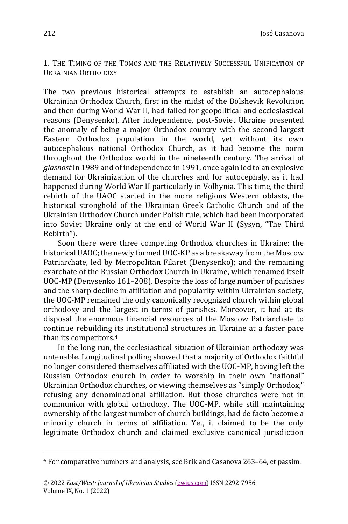1. THE TIMING OF THE TOMOS AND THE RELATIVELY SUCCESSFUL UNIFICATION OF UKRAINIAN ORTHODOXY

The two previous historical attempts to establish an autocephalous Ukrainian Orthodox Church, first in the midst of the Bolshevik Revolution and then during World War II, had failed for geopolitical and ecclesiastical reasons (Denysenko). After independence, post-Soviet Ukraine presented the anomaly of being a major Orthodox country with the second largest Eastern Orthodox population in the world, yet without its own autocephalous national Orthodox Church, as it had become the norm throughout the Orthodox world in the nineteenth century. The arrival of *glasnost* in 1989 and of independence in 1991, once again led to an explosive demand for Ukrainization of the churches and for autocephaly, as it had happened during World War II particularly in Volhynia. This time, the third rebirth of the UAOC started in the more religious Western oblasts, the historical stronghold of the Ukrainian Greek Catholic Church and of the Ukrainian Orthodox Church under Polish rule, which had been incorporated into Soviet Ukraine only at the end of World War II (Sysyn, "The Third Rebirth").

Soon there were three competing Orthodox churches in Ukraine: the historical UAOC; the newly formed UOC-KP as a breakaway from the Moscow Patriarchate, led by Metropolitan Filaret (Denysenko); and the remaining exarchate of the Russian Orthodox Church in Ukraine, which renamed itself UOC-MP (Denysenko 161–208). Despite the loss of large number of parishes and the sharp decline in affiliation and popularity within Ukrainian society, the UOC-MP remained the only canonically recognized church within global orthodoxy and the largest in terms of parishes. Moreover, it had at its disposal the enormous financial resources of the Moscow Patriarchate to continue rebuilding its institutional structures in Ukraine at a faster pace than its competitors. 4

In the long run, the ecclesiastical situation of Ukrainian orthodoxy was untenable. Longitudinal polling showed that a majority of Orthodox faithful no longer considered themselves affiliated with the UOC-MP, having left the Russian Orthodox church in order to worship in their own "national" Ukrainian Orthodox churches, or viewing themselves as "simply Orthodox," refusing any denominational affiliation. But those churches were not in communion with global orthodoxy. The UOC-MP, while still maintaining ownership of the largest number of church buildings, had de facto become a minority church in terms of affiliation. Yet, it claimed to be the only legitimate Orthodox church and claimed exclusive canonical jurisdiction

<sup>4</sup> For comparative numbers and analysis, see Brik and Casanova 263–64, et passim.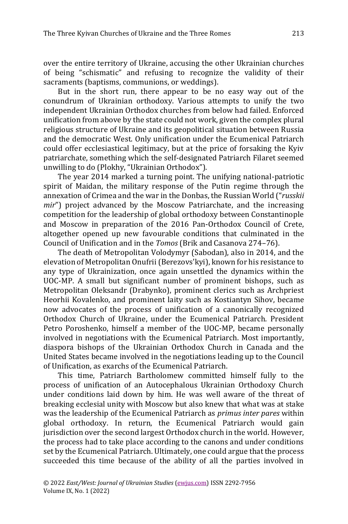over the entire territory of Ukraine, accusing the other Ukrainian churches of being "schismatic" and refusing to recognize the validity of their sacraments (baptisms, communions, or weddings).

But in the short run, there appear to be no easy way out of the conundrum of Ukrainian orthodoxy. Various attempts to unify the two independent Ukrainian Orthodox churches from below had failed. Enforced unification from above by the state could not work, given the complex plural religious structure of Ukraine and its geopolitical situation between Russia and the democratic West. Only unification under the Ecumenical Patriarch could offer ecclesiastical legitimacy, but at the price of forsaking the Kyiv patriarchate, something which the self-designated Patriarch Filaret seemed unwilling to do (Plokhy, "Ukrainian Orthodox").

The year 2014 marked a turning point. The unifying national-patriotic spirit of Maidan, the military response of the Putin regime through the annexation of Crimea and the war in the Donbas, the Russian World ("*russkii mir*") project advanced by the Moscow Patriarchate, and the increasing competition for the leadership of global orthodoxy between Constantinople and Moscow in preparation of the 2016 Pan-Orthodox Council of Crete, altogether opened up new favourable conditions that culminated in the Council of Unification and in the *Tomos* (Brik and Casanova 274–76).

The death of Metropolitan Volodymyr (Sabodan), also in 2014, and the elevation of Metropolitan Onufrii (Berezovs'kyi), known for his resistance to any type of Ukrainization, once again unsettled the dynamics within the UOC-MP. A small but significant number of prominent bishops, such as Metropolitan Oleksandr (Drabynko), prominent clerics such as Archpriest Heorhii Kovalenko, and prominent laity such as Kostiantyn Sihov, became now advocates of the process of unification of a canonically recognized Orthodox Church of Ukraine, under the Ecumenical Patriarch. President Petro Poroshenko, himself a member of the UOC-MP, became personally involved in negotiations with the Ecumenical Patriarch. Most importantly, diaspora bishops of the Ukrainian Orthodox Church in Canada and the United States became involved in the negotiations leading up to the Council of Unification, as exarchs of the Ecumenical Patriarch.

This time, Patriarch Bartholomew committed himself fully to the process of unification of an Autocephalous Ukrainian Orthodoxy Church under conditions laid down by him. He was well aware of the threat of breaking ecclesial unity with Moscow but also knew that what was at stake was the leadership of the Ecumenical Patriarch as *primus inter pares* within global orthodoxy. In return, the Ecumenical Patriarch would gain jurisdiction over the second largest Orthodox church in the world. However, the process had to take place according to the canons and under conditions set by the Ecumenical Patriarch. Ultimately, one could argue that the process succeeded this time because of the ability of all the parties involved in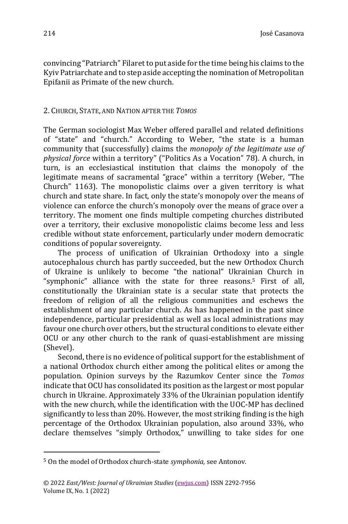convincing "Patriarch" Filaret to put aside for the time being his claims to the Kyiv Patriarchate and to step aside accepting the nomination of Metropolitan Epifanii as Primate of the new church.

## 2. CHURCH, STATE, AND NATION AFTER THE *TOMOS*

The German sociologist Max Weber offered parallel and related definitions of "state" and "church." According to Weber, "the state is a human community that (successfully) claims the *monopoly of the legitimate use of physical force* within a territory" ("Politics As a Vocation" 78). A church, in turn, is an ecclesiastical institution that claims the monopoly of the legitimate means of sacramental "grace" within a territory (Weber, "The Church" 1163). The monopolistic claims over a given territory is what church and state share. In fact, only the state's monopoly over the means of violence can enforce the church's monopoly over the means of grace over a territory. The moment one finds multiple competing churches distributed over a territory, their exclusive monopolistic claims become less and less credible without state enforcement, particularly under modern democratic conditions of popular sovereignty.

The process of unification of Ukrainian Orthodoxy into a single autocephalous church has partly succeeded, but the new Orthodox Church of Ukraine is unlikely to become "the national" Ukrainian Church in "symphonic" alliance with the state for three reasons.<sup>5</sup> First of all, constitutionally the Ukrainian state is a secular state that protects the freedom of religion of all the religious communities and eschews the establishment of any particular church. As has happened in the past since independence, particular presidential as well as local administrations may favour one church over others, but the structural conditions to elevate either OCU or any other church to the rank of quasi-establishment are missing (Shevel).

Second, there is no evidence of political support for the establishment of a national Orthodox church either among the political elites or among the population. Opinion surveys by the Razumkov Center since the *Tomos*  indicate that OCU has consolidated its position as the largest or most popular church in Ukraine. Approximately 33% of the Ukrainian population identify with the new church, while the identification with the UOC-MP has declined significantly to less than 20%. However, the most striking finding is the high percentage of the Orthodox Ukrainian population, also around 33%, who declare themselves "simply Orthodox," unwilling to take sides for one

<sup>5</sup> On the model of Orthodox church-state *symphonia,* see Antonov.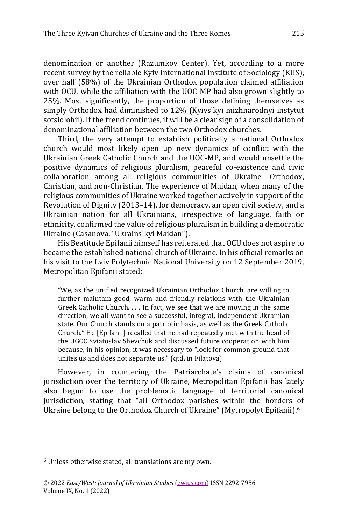denomination or another (Razumkov Center). Yet, according to a more recent survey by the reliable Kyiv International Institute of Sociology (KIIS), over half (58%) of the Ukrainian Orthodox population claimed affiliation with OCU, while the affiliation with the UOC-MP had also grown slightly to 25%. Most significantly, the proportion of those defining themselves as simply Orthodox had diminished to 12% (Kyivs'kyi mizhnarodnyi instytut sotsiolohii). If the trend continues, if will be a clear sign of a consolidation of denominational affiliation between the two Orthodox churches.

Third, the very attempt to establish politically a national Orthodox church would most likely open up new dynamics of conflict with the Ukrainian Greek Catholic Church and the UOC-MP, and would unsettle the positive dynamics of religious pluralism, peaceful co-existence and civic collaboration among all religious communities of Ukraine—Orthodox, Christian, and non-Christian. The experience of Maidan, when many of the religious communities of Ukraine worked together actively in support of the Revolution of Dignity (2013–14), for democracy, an open civil society, and a Ukrainian nation for all Ukrainians, irrespective of language, faith or ethnicity, confirmed the value of religious pluralism in building a democratic Ukraine (Casanova, "Ukrains'kyi Maidan").

His Beatitude Epifanii himself has reiterated that OCU does not aspire to became the established national church of Ukraine. In his official remarks on his visit to the Lviv Polytechnic National University on 12 September 2019, Metropolitan Epifanii stated:

"We, as the unified recognized Ukrainian Orthodox Church, are willing to further maintain good, warm and friendly relations with the Ukrainian Greek Catholic Church. . . . In fact, we see that we are moving in the same direction, we all want to see a successful, integral, independent Ukrainian state. Our Church stands on a patriotic basis, as well as the Greek Catholic Church." He [Epifanii] recalled that he had repeatedly met with the head of the UGCC Sviatoslav Shevchuk and discussed future cooperation with him because, in his opinion, it was necessary to "look for common ground that unites us and does not separate us." (qtd. in Filatova)

However, in countering the Patriarchate's claims of canonical jurisdiction over the territory of Ukraine, Metropolitan Epifanii has lately also begun to use the problematic language of territorial canonical jurisdiction, stating that "all Orthodox parishes within the borders of Ukraine belong to the Orthodox Church of Ukraine" (Mytropolyt Epifanii).<sup>6</sup>

<sup>6</sup> Unless otherwise stated, all translations are my own.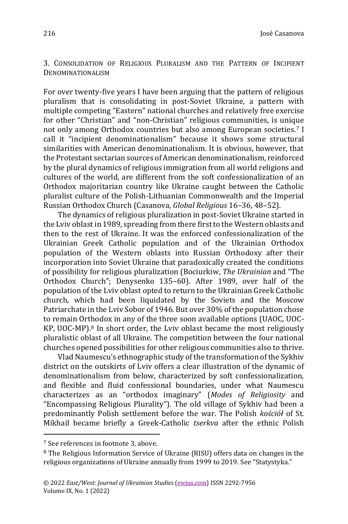3. CONSOLIDATION OF RELIGIOUS PLURALISM AND THE PATTERN OF INCIPIENT DENOMINATIONALISM

For over twenty-five years I have been arguing that the pattern of religious pluralism that is consolidating in post-Soviet Ukraine, a pattern with multiple competing "Eastern" national churches and relatively free exercise for other "Christian" and "non-Christian" religious communities, is unique not only among Orthodox countries but also among European societies.<sup>7</sup> I call it "incipient denominationalism" because it shows some structural similarities with American denominationalism. It is obvious, however, that the Protestant sectarian sources of American denominationalism, reinforced by the plural dynamics of religious immigration from all world religions and cultures of the world, are different from the soft confessionalization of an Orthodox majoritarian country like Ukraine caught between the Catholic pluralist culture of the Polish-Lithuanian Commonwealth and the Imperial Russian Orthodox Church (Casanova, *Global Religious* 16–36, 48–52).

The dynamics of religious pluralization in post-Soviet Ukraine started in the Lviv oblast in 1989, spreading from there first to the Western oblasts and then to the rest of Ukraine. It was the enforced confessionalization of the Ukrainian Greek Catholic population and of the Ukrainian Orthodox population of the Western oblasts into Russian Orthodoxy after their incorporation into Soviet Ukraine that paradoxically created the conditions of possibility for religious pluralization (Bociurkiw, *The Ukrainian* and "The Orthodox Church"; Denysenko 135–60). After 1989, over half of the population of the Lviv oblast opted to return to the Ukrainian Greek Catholic church, which had been liquidated by the Soviets and the Moscow Patriarchate in the Lviv Sobor of 1946. But over 30% of the population chose to remain Orthodox in any of the three soon available options (UAOC, UOC-KP, UOC-MP).<sup>8</sup> In short order, the Lviv oblast became the most religiously pluralistic oblast of all Ukraine. The competition between the four national churches opened possibilities for other religious communities also to thrive.

Vlad Naumescu's ethnographic study of the transformation of the Sykhiv district on the outskirts of Lviv offers a clear illustration of the dynamic of denominationalism from below, characterized by soft confessionalization, and flexible and fluid confessional boundaries, under what Naumescu characterizes as an "orthodox imaginary" (*Modes of Religiosity* and "Encompassing Religious Plurality"). The old village of Sykhiv had been a predominantly Polish settlement before the war. The Polish *kościół* of St. Mikhail became briefly a Greek-Catholic *tserkva* after the ethnic Polish

<sup>7</sup> See references in footnote 3, above.

<sup>8</sup> The Religious Information Service of Ukraine (RISU) offers data on changes in the religious organizations of Ukraine annually from 1999 to 2019. See "Statystyka."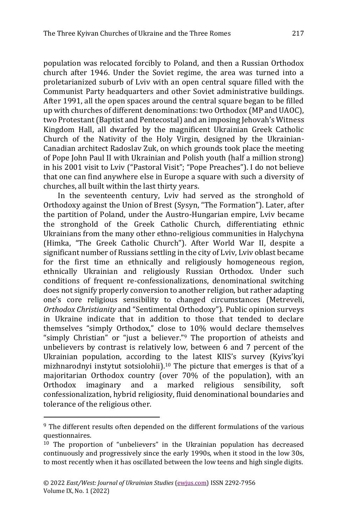population was relocated forcibly to Poland, and then a Russian Orthodox church after 1946. Under the Soviet regime, the area was turned into a proletarianized suburb of Lviv with an open central square filled with the Communist Party headquarters and other Soviet administrative buildings. After 1991, all the open spaces around the central square began to be filled up with churches of different denominations: two Orthodox (MP and UAOC), two Protestant (Baptist and Pentecostal) and an imposing Jehovah's Witness Kingdom Hall, all dwarfed by the magnificent Ukrainian Greek Catholic Church of the Nativity of the Holy Virgin, designed by the Ukrainian-Canadian architect Radoslav Zuk, on which grounds took place the meeting of Pope John Paul II with Ukrainian and Polish youth (half a million strong) in his 2001 visit to Lviv ("Pastoral Visit"; "Pope Preaches"). I do not believe that one can find anywhere else in Europe a square with such a diversity of churches, all built within the last thirty years.

In the seventeenth century, Lviv had served as the stronghold of Orthodoxy against the Union of Brest (Sysyn, "The Formation"). Later, after the partition of Poland, under the Austro-Hungarian empire, Lviv became the stronghold of the Greek Catholic Church, differentiating ethnic Ukrainians from the many other ethno-religious communities in Halychyna (Himka, "The Greek Catholic Church"). After World War II, despite a significant number of Russians settling in the city of Lviv, Lviv oblast became for the first time an ethnically and religiously homogeneous region, ethnically Ukrainian and religiously Russian Orthodox. Under such conditions of frequent re-confessionalizations, denominational switching does not signify properly conversion to another religion, but rather adapting one's core religious sensibility to changed circumstances (Metreveli, *Orthodox Christianity* and "Sentimental Orthodoxy"). Public opinion surveys in Ukraine indicate that in addition to those that tended to declare themselves "simply Orthodox," close to 10% would declare themselves "simply Christian" or "just a believer."<sup>9</sup> The proportion of atheists and unbelievers by contrast is relatively low, between 6 and 7 percent of the Ukrainian population, according to the latest KIIS's survey (Kyivs'kyi mizhnarodnyi instytut sotsiolohii). <sup>10</sup> The picture that emerges is that of a majoritarian Orthodox country (over 70% of the population), with an Orthodox imaginary and a marked religious sensibility, soft confessionalization, hybrid religiosity, fluid denominational boundaries and tolerance of the religious other.

<sup>9</sup> The different results often depended on the different formulations of the various questionnaires.

<sup>10</sup> The proportion of "unbelievers" in the Ukrainian population has decreased continuously and progressively since the early 1990s, when it stood in the low 30s, to most recently when it has oscillated between the low teens and high single digits.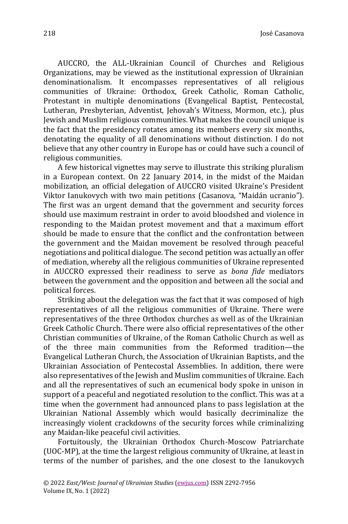José Casanova

AUCCRO, the ALL-Ukrainian Council of Churches and Religious Organizations, may be viewed as the institutional expression of Ukrainian denominationalism. It encompasses representatives of all religious communities of Ukraine: Orthodox, Greek Catholic, Roman Catholic, Protestant in multiple denominations (Evangelical Baptist, Pentecostal, Lutheran, Presbyterian, Adventist, Jehovah's Witness, Mormon, etc.), plus Jewish and Muslim religious communities. What makes the council unique is the fact that the presidency rotates among its members every six months, denotating the equality of all denominations without distinction. I do not believe that any other country in Europe has or could have such a council of religious communities.

A few historical vignettes may serve to illustrate this striking pluralism in a European context. On 22 January 2014, in the midst of the Maidan mobilization, an official delegation of AUCCRO visited Ukraine's President Viktor Ianukovych with two main petitions (Casanova, "Maidán ucranio"). The first was an urgent demand that the government and security forces should use maximum restraint in order to avoid bloodshed and violence in responding to the Maidan protest movement and that a maximum effort should be made to ensure that the conflict and the confrontation between the government and the Maidan movement be resolved through peaceful negotiations and political dialogue. The second petition was actually an offer of mediation, whereby all the religious communities of Ukraine represented in AUCCRO expressed their readiness to serve as *bona fide* mediators between the government and the opposition and between all the social and political forces.

Striking about the delegation was the fact that it was composed of high representatives of all the religious communities of Ukraine. There were representatives of the three Orthodox churches as well as of the Ukrainian Greek Catholic Church. There were also official representatives of the other Christian communities of Ukraine, of the Roman Catholic Church as well as of the three main communities from the Reformed tradition—the Evangelical Lutheran Church, the Association of Ukrainian Baptists, and the Ukrainian Association of Pentecostal Assemblies. In addition, there were also representatives of the Jewish and Muslim communities of Ukraine. Each and all the representatives of such an ecumenical body spoke in unison in support of a peaceful and negotiated resolution to the conflict. This was at a time when the government had announced plans to pass legislation at the Ukrainian National Assembly which would basically decriminalize the increasingly violent crackdowns of the security forces while criminalizing any Maidan-like peaceful civil activities.

Fortuitously, the Ukrainian Orthodox Church-Moscow Patriarchate (UOC-MP), at the time the largest religious community of Ukraine, at least in terms of the number of parishes, and the one closest to the Ianukovych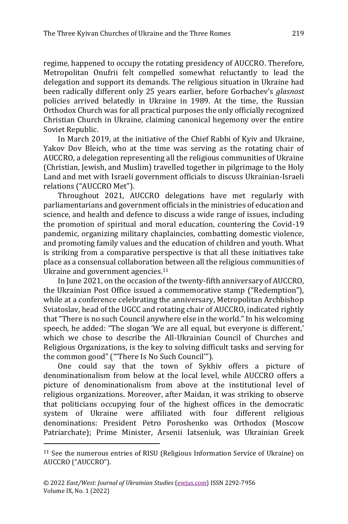regime, happened to occupy the rotating presidency of AUCCRO. Therefore, Metropolitan Onufrii felt compelled somewhat reluctantly to lead the delegation and support its demands. The religious situation in Ukraine had been radically different only 25 years earlier, before Gorbachev's *glasnost*  policies arrived belatedly in Ukraine in 1989. At the time, the Russian Orthodox Church was for all practical purposes the only officially recognized Christian Church in Ukraine, claiming canonical hegemony over the entire Soviet Republic.

In March 2019, at the initiative of the Chief Rabbi of Kyiv and Ukraine, Yakov Dov Bleich, who at the time was serving as the rotating chair of AUCCRO, a delegation representing all the religious communities of Ukraine (Christian, Jewish, and Muslim) travelled together in pilgrimage to the Holy Land and met with Israeli government officials to discuss Ukrainian-Israeli relations ("AUCCRO Met").

Throughout 2021, AUCCRO delegations have met regularly with parliamentarians and government officials in the ministries of education and science, and health and defence to discuss a wide range of issues, including the promotion of spiritual and moral education, countering the Covid-19 pandemic, organizing military chaplaincies, combatting domestic violence, and promoting family values and the education of children and youth. What is striking from a comparative perspective is that all these initiatives take place as a consensual collaboration between all the religious communities of Ukraine and government agencies.<sup>11</sup>

In June 2021, on the occasion of the twenty-fifth anniversary of AUCCRO, the Ukrainian Post Office issued a commemorative stamp ("Redemption"), while at a conference celebrating the anniversary, Metropolitan Archbishop Sviatoslav, head of the UGCC and rotating chair of AUCCRO, indicated rightly that "There is no such Council anywhere else in the world." In his welcoming speech, he added: "The slogan 'We are all equal, but everyone is different,' which we chose to describe the All-Ukrainian Council of Churches and Religious Organizations, is the key to solving difficult tasks and serving for the common good" ("'There Is No Such Council'").

One could say that the town of Sykhiv offers a picture of denominationalism from below at the local level, while AUCCRO offers a picture of denominationalism from above at the institutional level of religious organizations. Moreover, after Maidan, it was striking to observe that politicians occupying four of the highest offices in the democratic system of Ukraine were affiliated with four different religious denominations: President Petro Poroshenko was Orthodox (Moscow Patriarchate); Prime Minister, Arsenii Iatseniuk, was Ukrainian Greek

<sup>&</sup>lt;sup>11</sup> See the numerous entries of RISU (Religious Information Service of Ukraine) on AUCCRO ("AUCCRO").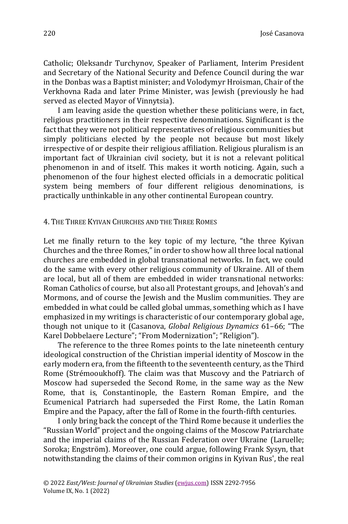Catholic; Oleksandr Turchynov, Speaker of Parliament, Interim President and Secretary of the National Security and Defence Council during the war in the Donbas was a Baptist minister; and Volodymyr Hroisman, Chair of the Verkhovna Rada and later Prime Minister, was Jewish (previously he had served as elected Mayor of Vinnytsia).

I am leaving aside the question whether these politicians were, in fact, religious practitioners in their respective denominations. Significant is the fact that they were not political representatives of religious communities but simply politicians elected by the people not because but most likely irrespective of or despite their religious affiliation. Religious pluralism is an important fact of Ukrainian civil society, but it is not a relevant political phenomenon in and of itself. This makes it worth noticing. Again, such a phenomenon of the four highest elected officials in a democratic political system being members of four different religious denominations, is practically unthinkable in any other continental European country.

#### 4. THE THREE KYIVAN CHURCHES AND THE THREE ROMES

Let me finally return to the key topic of my lecture, "the three Kyivan Churches and the three Romes," in order to show how all three local national churches are embedded in global transnational networks. In fact, we could do the same with every other religious community of Ukraine. All of them are local, but all of them are embedded in wider transnational networks: Roman Catholics of course, but also all Protestant groups, and Jehovah's and Mormons, and of course the Jewish and the Muslim communities. They are embedded in what could be called global ummas, something which as I have emphasized in my writings is characteristic of our contemporary global age, though not unique to it (Casanova, *Global Religious Dynamics* 61–66; "The Karel Dobbelaere Lecture"; "From Modernization"; "Religion").

The reference to the three Romes points to the late nineteenth century ideological construction of the Christian imperial identity of Moscow in the early modern era, from the fifteenth to the seventeenth century, as the Third Rome (Strémooukhoff). The claim was that Muscovy and the Patriarch of Moscow had superseded the Second Rome, in the same way as the New Rome, that is, Constantinople, the Eastern Roman Empire, and the Ecumenical Patriarch had superseded the First Rome, the Latin Roman Empire and the Papacy, after the fall of Rome in the fourth-fifth centuries.

I only bring back the concept of the Third Rome because it underlies the "Russian World" project and the ongoing claims of the Moscow Patriarchate and the imperial claims of the Russian Federation over Ukraine (Laruelle; Soroka; Engström). Moreover, one could argue, following Frank Sysyn, that notwithstanding the claims of their common origins in Kyivan Rus', the real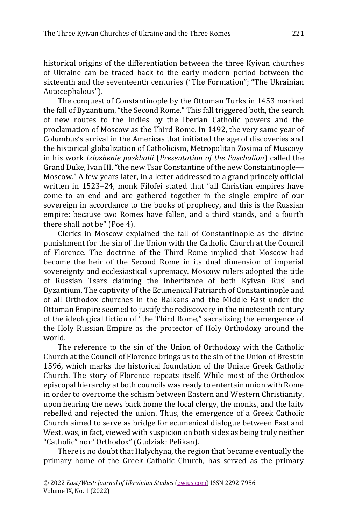historical origins of the differentiation between the three Kyivan churches of Ukraine can be traced back to the early modern period between the sixteenth and the seventeenth centuries ("The Formation"; "The Ukrainian Autocephalous").

The conquest of Constantinople by the Ottoman Turks in 1453 marked the fall of Byzantium, "the Second Rome." This fall triggered both, the search of new routes to the Indies by the Iberian Catholic powers and the proclamation of Moscow as the Third Rome. In 1492, the very same year of Columbus's arrival in the Americas that initiated the age of discoveries and the historical globalization of Catholicism, Metropolitan Zosima of Muscovy in his work *Izlozhenie paskhalii* (*Presentation of the Paschalion*) called the Grand Duke, Ivan III, "the new Tsar Constantine of the new Constantinople— Moscow." A few years later, in a letter addressed to a grand princely official written in 1523–24, monk Filofei stated that "all Christian empires have come to an end and are gathered together in the single empire of our sovereign in accordance to the books of prophecy, and this is the Russian empire: because two Romes have fallen, and a third stands, and a fourth there shall not be" (Poe 4).

Clerics in Moscow explained the fall of Constantinople as the divine punishment for the sin of the Union with the Catholic Church at the Council of Florence. The doctrine of the Third Rome implied that Moscow had become the heir of the Second Rome in its dual dimension of imperial sovereignty and ecclesiastical supremacy. Moscow rulers adopted the title of Russian Tsars claiming the inheritance of both Kyivan Rus' and Byzantium. The captivity of the Ecumenical Patriarch of Constantinople and of all Orthodox churches in the Balkans and the Middle East under the Ottoman Empire seemed to justify the rediscovery in the nineteenth century of the ideological fiction of "the Third Rome," sacralizing the emergence of the Holy Russian Empire as the protector of Holy Orthodoxy around the world.

The reference to the sin of the Union of Orthodoxy with the Catholic Church at the Council of Florence brings us to the sin of the Union of Brest in 1596, which marks the historical foundation of the Uniate Greek Catholic Church. The story of Florence repeats itself. While most of the Orthodox episcopal hierarchy at both councils was ready to entertain union with Rome in order to overcome the schism between Eastern and Western Christianity, upon hearing the news back home the local clergy, the monks, and the laity rebelled and rejected the union. Thus, the emergence of a Greek Catholic Church aimed to serve as bridge for ecumenical dialogue between East and West, was, in fact, viewed with suspicion on both sides as being truly neither "Catholic" nor "Orthodox" (Gudziak; Pelikan).

There is no doubt that Halychyna, the region that became eventually the primary home of the Greek Catholic Church, has served as the primary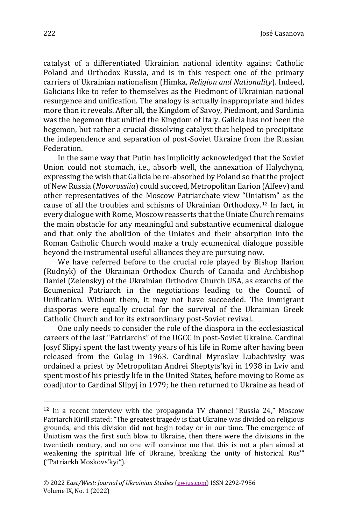José Casanova

catalyst of a differentiated Ukrainian national identity against Catholic Poland and Orthodox Russia, and is in this respect one of the primary carriers of Ukrainian nationalism (Himka, *Religion and Nationality*). Indeed, Galicians like to refer to themselves as the Piedmont of Ukrainian national resurgence and unification. The analogy is actually inappropriate and hides more than it reveals. After all, the Kingdom of Savoy, Piedmont, and Sardinia was the hegemon that unified the Kingdom of Italy. Galicia has not been the hegemon, but rather a crucial dissolving catalyst that helped to precipitate the independence and separation of post-Soviet Ukraine from the Russian Federation.

In the same way that Putin has implicitly acknowledged that the Soviet Union could not stomach, i.e., absorb well, the annexation of Halychyna, expressing the wish that Galicia be re-absorbed by Poland so that the project of New Russia (*Novorossiia*) could succeed, Metropolitan Ilarion (Alfeev) and other representatives of the Moscow Patriarchate view "Uniatism" as the cause of all the troubles and schisms of Ukrainian Orthodoxy.<sup>12</sup> In fact, in every dialogue with Rome, Moscow reasserts that the Uniate Church remains the main obstacle for any meaningful and substantive ecumenical dialogue and that only the abolition of the Uniates and their absorption into the Roman Catholic Church would make a truly ecumenical dialogue possible beyond the instrumental useful alliances they are pursuing now.

We have referred before to the crucial role played by Bishop Ilarion (Rudnyk) of the Ukrainian Orthodox Church of Canada and Archbishop Daniel (Zelensky) of the Ukrainian Orthodox Church USA, as exarchs of the Ecumenical Patriarch in the negotiations leading to the Council of Unification. Without them, it may not have succeeded. The immigrant diasporas were equally crucial for the survival of the Ukrainian Greek Catholic Church and for its extraordinary post-Soviet revival.

One only needs to consider the role of the diaspora in the ecclesiastical careers of the last "Patriarchs" of the UGCC in post-Soviet Ukraine. Cardinal Josyf Slipyi spent the last twenty years of his life in Rome after having been released from the Gulag in 1963. Cardinal Myroslav Lubachivsky was ordained a priest by Metropolitan Andrei Sheptyts'kyi in 1938 in Lviv and spent most of his priestly life in the United States, before moving to Rome as coadjutor to Cardinal Slipyj in 1979; he then returned to Ukraine as head of

 $12$  In a recent interview with the propaganda TV channel "Russia 24," Moscow Patriarch Kirill stated: "The greatest tragedy is that Ukraine was divided on religious grounds, and this division did not begin today or in our time. The emergence of Uniatism was the first such blow to Ukraine, then there were the divisions in the twentieth century, and no one will convince me that this is not a plan aimed at weakening the spiritual life of Ukraine, breaking the unity of historical Rus'" ("Patriarkh Moskovs'kyi").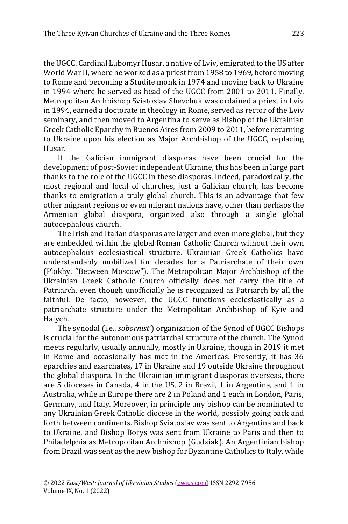the UGCC. Cardinal Lubomyr Husar, a native of Lviv, emigrated to the US after World War II, where he worked as a priest from 1958 to 1969, before moving to Rome and becoming a Studite monk in 1974 and moving back to Ukraine in 1994 where he served as head of the UGCC from 2001 to 2011. Finally, Metropolitan Archbishop Sviatoslav Shevchuk was ordained a priest in Lviv in 1994, earned a doctorate in theology in Rome, served as rector of the Lviv seminary, and then moved to Argentina to serve as Bishop of the Ukrainian Greek Catholic Eparchy in Buenos Aires from 2009 to 2011, before returning to Ukraine upon his election as Major Archbishop of the UGCC, replacing Husar.

If the Galician immigrant diasporas have been crucial for the development of post-Soviet independent Ukraine, this has been in large part thanks to the role of the UGCC in these diasporas. Indeed, paradoxically, the most regional and local of churches, just a Galician church, has become thanks to emigration a truly global church. This is an advantage that few other migrant regions or even migrant nations have, other than perhaps the Armenian global diaspora, organized also through a single global autocephalous church.

The Irish and Italian diasporas are larger and even more global, but they are embedded within the global Roman Catholic Church without their own autocephalous ecclesiastical structure. Ukrainian Greek Catholics have understandably mobilized for decades for a Patriarchate of their own (Plokhy, "Between Moscow"). The Metropolitan Major Archbishop of the Ukrainian Greek Catholic Church officially does not carry the title of Patriarch, even though unofficially he is recognized as Patriarch by all the faithful. De facto, however, the UGCC functions ecclesiastically as a patriarchate structure under the Metropolitan Archbishop of Kyiv and Halych.

The synodal (i.e., *sobornist'*) organization of the Synod of UGCC Bishops is crucial for the autonomous patriarchal structure of the church. The Synod meets regularly, usually annually, mostly in Ukraine, though in 2019 it met in Rome and occasionally has met in the Americas. Presently, it has 36 eparchies and exarchates, 17 in Ukraine and 19 outside Ukraine throughout the global diaspora. In the Ukrainian immigrant diasporas overseas, there are 5 dioceses in Canada, 4 in the US, 2 in Brazil, 1 in Argentina, and 1 in Australia, while in Europe there are 2 in Poland and 1 each in London, Paris, Germany, and Italy. Moreover, in principle any bishop can be nominated to any Ukrainian Greek Catholic diocese in the world, possibly going back and forth between continents. Bishop Sviatoslav was sent to Argentina and back to Ukraine, and Bishop Borys was sent from Ukraine to Paris and then to Philadelphia as Metropolitan Archbishop (Gudziak). An Argentinian bishop from Brazil was sent as the new bishop for Byzantine Catholics to Italy, while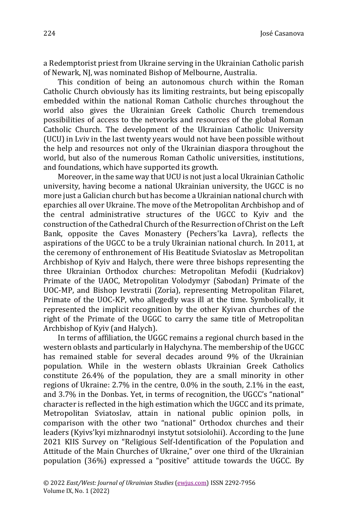a Redemptorist priest from Ukraine serving in the Ukrainian Catholic parish of Newark, NJ, was nominated Bishop of Melbourne, Australia.

This condition of being an autonomous church within the Roman Catholic Church obviously has its limiting restraints, but being episcopally embedded within the national Roman Catholic churches throughout the world also gives the Ukrainian Greek Catholic Church tremendous possibilities of access to the networks and resources of the global Roman Catholic Church. The development of the Ukrainian Catholic University (UCU) in Lviv in the last twenty years would not have been possible without the help and resources not only of the Ukrainian diaspora throughout the world, but also of the numerous Roman Catholic universities, institutions, and foundations, which have supported its growth.

Moreover, in the same way that UCU is not just a local Ukrainian Catholic university, having become a national Ukrainian university, the UGCC is no more just a Galician church but has become a Ukrainian national church with eparchies all over Ukraine. The move of the Metropolitan Archbishop and of the central administrative structures of the UGCC to Kyiv and the construction of the Cathedral Church of the Resurrection of Christ on the Left Bank, opposite the Caves Monastery (Pechers'ka Lavra), reflects the aspirations of the UGCC to be a truly Ukrainian national church. In 2011, at the ceremony of enthronement of His Beatitude Sviatoslav as Metropolitan Archbishop of Kyiv and Halych, there were three bishops representing the three Ukrainian Orthodox churches: Metropolitan Mefodii (Kudriakov) Primate of the UAOC, Metropolitan Volodymyr (Sabodan) Primate of the UOC-MP, and Bishop Ievstratii (Zoria), representing Metropolitan Filaret, Primate of the UOC-KP, who allegedly was ill at the time. Symbolically, it represented the implicit recognition by the other Kyivan churches of the right of the Primate of the UGGC to carry the same title of Metropolitan Archbishop of Kyiv (and Halych).

In terms of affiliation, the UGGC remains a regional church based in the western oblasts and particularly in Halychyna. The membership of the UGCC has remained stable for several decades around 9% of the Ukrainian population. While in the western oblasts Ukrainian Greek Catholics constitute 26.4% of the population, they are a small minority in other regions of Ukraine: 2.7% in the centre, 0.0% in the south, 2.1% in the east, and 3.7% in the Donbas. Yet, in terms of recognition, the UGCC's "national" character is reflected in the high estimation which the UGCC and its primate, Metropolitan Sviatoslav, attain in national public opinion polls, in comparison with the other two "national" Orthodox churches and their leaders (Kyivs'kyi mizhnarodnyi instytut sotsiolohii). According to the June 2021 KIIS Survey on "Religious Self-Identification of the Population and Attitude of the Main Churches of Ukraine," over one third of the Ukrainian population (36%) expressed a "positive" attitude towards the UGCC. By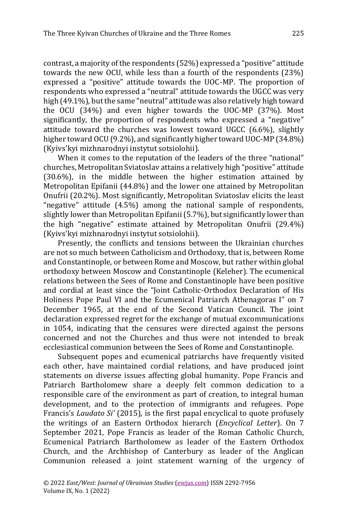contrast, a majority of the respondents (52%) expressed a "positive" attitude towards the new OCU, while less than a fourth of the respondents (23%) expressed a "positive" attitude towards the UOC-MP. The proportion of respondents who expressed a "neutral" attitude towards the UGCC was very high (49.1%), but the same "neutral" attitude was also relatively high toward the OCU (34%) and even higher towards the UOC-MP (37%). Most significantly, the proportion of respondents who expressed a "negative" attitude toward the churches was lowest toward UGCC (6.6%), slightly higher toward OCU (9.2%), and significantly higher toward UOC-MP (34.8%) (Kyivs'kyi mizhnarodnyi instytut sotsiolohii).

When it comes to the reputation of the leaders of the three "national" churches, Metropolitan Sviatoslav attains a relatively high "positive" attitude (30.6%), in the middle between the higher estimation attained by Metropolitan Epifanii (44.8%) and the lower one attained by Metropolitan Onufrii (20.2%). Most significantly, Metropolitan Sviatoslav elicits the least "negative" attitude (4.5%) among the national sample of respondents, slightly lower than Metropolitan Epifanii (5.7%), but significantly lower than the high "negative" estimate attained by Metropolitan Onufrii (29.4%) (Kyivs'kyi mizhnarodnyi instytut sotsiolohii).

Presently, the conflicts and tensions between the Ukrainian churches are not so much between Catholicism and Orthodoxy, that is, between Rome and Constantinople, or between Rome and Moscow, but rather within global orthodoxy between Moscow and Constantinople (Keleher). The ecumenical relations between the Sees of Rome and Constantinople have been positive and cordial at least since the "Joint Catholic-Orthodox Declaration of His Holiness Pope Paul VI and the Ecumenical Patriarch Athenagoras I" on 7 December 1965, at the end of the Second Vatican Council. The joint declaration expressed regret for the exchange of mutual excommunications in 1054, indicating that the censures were directed against the persons concerned and not the Churches and thus were not intended to break ecclesiastical communion between the Sees of Rome and Constantinople.

Subsequent popes and ecumenical patriarchs have frequently visited each other, have maintained cordial relations, and have produced joint statements on diverse issues affecting global humanity. Pope Francis and Patriarch Bartholomew share a deeply felt common dedication to a responsible care of the environment as part of creation, to integral human development, and to the protection of immigrants and refugees. Pope Francis's *Laudato Si'* (2015)*,* is the first papal encyclical to quote profusely the writings of an Eastern Orthodox hierarch (*Encyclical Letter*). On 7 September 2021, Pope Francis as leader of the Roman Catholic Church, Ecumenical Patriarch Bartholomew as leader of the Eastern Orthodox Church, and the Archbishop of Canterbury as leader of the Anglican Communion released a joint statement warning of the urgency of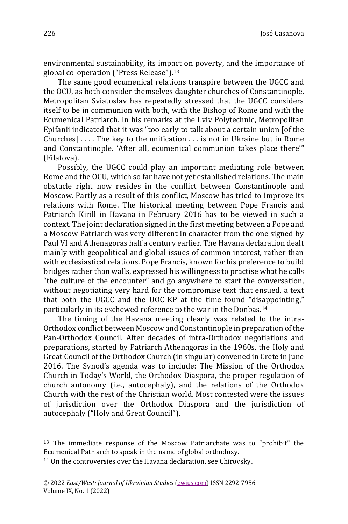environmental sustainability, its impact on poverty, and the importance of global co-operation ("Press Release"). 13

The same good ecumenical relations transpire between the UGCC and the OCU, as both consider themselves daughter churches of Constantinople. Metropolitan Sviatoslav has repeatedly stressed that the UGCC considers itself to be in communion with both, with the Bishop of Rome and with the Ecumenical Patriarch. In his remarks at the Lviv Polytechnic, Metropolitan Epifanii indicated that it was "too early to talk about a certain union [of the Churches] . . . . The key to the unification . . . is not in Ukraine but in Rome and Constantinople. 'After all, ecumenical communion takes place there'" (Filatova).

Possibly, the UGCC could play an important mediating role between Rome and the OCU, which so far have not yet established relations. The main obstacle right now resides in the conflict between Constantinople and Moscow. Partly as a result of this conflict, Moscow has tried to improve its relations with Rome. The historical meeting between Pope Francis and Patriarch Kirill in Havana in February 2016 has to be viewed in such a context. The joint declaration signed in the first meeting between a Pope and a Moscow Patriarch was very different in character from the one signed by Paul VI and Athenagoras half a century earlier. The Havana declaration dealt mainly with geopolitical and global issues of common interest, rather than with ecclesiastical relations. Pope Francis, known for his preference to build bridges rather than walls, expressed his willingness to practise what he calls "the culture of the encounter" and go anywhere to start the conversation, without negotiating very hard for the compromise text that ensued, a text that both the UGCC and the UOC-KP at the time found "disappointing," particularly in its eschewed reference to the war in the Donbas.<sup>14</sup>

The timing of the Havana meeting clearly was related to the intra-Orthodox conflict between Moscow and Constantinople in preparation of the Pan-Orthodox Council. After decades of intra-Orthodox negotiations and preparations, started by Patriarch Athenagoras in the 1960s, the Holy and Great Council of the Orthodox Church (in singular) convened in Crete in June 2016. The Synod's agenda was to include: The Mission of the Orthodox Church in Today's World, the Orthodox Diaspora, the proper regulation of church autonomy (i.e., autocephaly), and the relations of the Orthodox Church with the rest of the Christian world. Most contested were the issues of jurisdiction over the Orthodox Diaspora and the jurisdiction of autocephaly ("Holy and Great Council").

<sup>13</sup> The immediate response of the Moscow Patriarchate was to "prohibit" the Ecumenical Patriarch to speak in the name of global orthodoxy.

<sup>14</sup> On the controversies over the Havana declaration, see Chirovsky.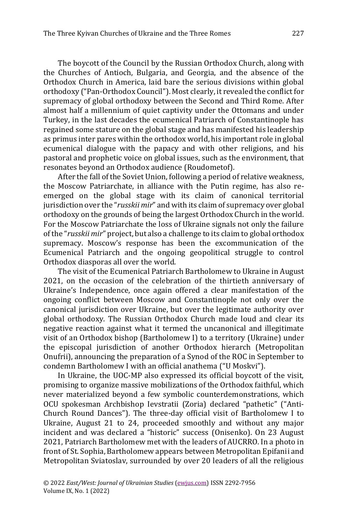The boycott of the Council by the Russian Orthodox Church, along with the Churches of Antioch, Bulgaria, and Georgia, and the absence of the Orthodox Church in America, laid bare the serious divisions within global orthodoxy ("Pan-Orthodox Council"). Most clearly, it revealed the conflict for supremacy of global orthodoxy between the Second and Third Rome. After almost half a millennium of quiet captivity under the Ottomans and under Turkey, in the last decades the ecumenical Patriarch of Constantinople has regained some stature on the global stage and has manifested his leadership as primus inter pares within the orthodox world, his important role in global ecumenical dialogue with the papacy and with other religions, and his pastoral and prophetic voice on global issues, such as the environment, that resonates beyond an Orthodox audience (Roudometof).

After the fall of the Soviet Union, following a period of relative weakness, the Moscow Patriarchate, in alliance with the Putin regime, has also reemerged on the global stage with its claim of canonical territorial jurisdiction over the "*russkii mir*" and with its claim of supremacy over global orthodoxy on the grounds of being the largest Orthodox Church in the world. For the Moscow Patriarchate the loss of Ukraine signals not only the failure of the "*russkii mir*" project, but also a challenge to its claim to global orthodox supremacy. Moscow's response has been the excommunication of the Ecumenical Patriarch and the ongoing geopolitical struggle to control Orthodox diasporas all over the world.

The visit of the Ecumenical Patriarch Bartholomew to Ukraine in August 2021, on the occasion of the celebration of the thirtieth anniversary of Ukraine's Independence, once again offered a clear manifestation of the ongoing conflict between Moscow and Constantinople not only over the canonical jurisdiction over Ukraine, but over the legitimate authority over global orthodoxy. The Russian Orthodox Church made loud and clear its negative reaction against what it termed the uncanonical and illegitimate visit of an Orthodox bishop (Bartholomew I) to a territory (Ukraine) under the episcopal jurisdiction of another Orthodox hierarch (Metropolitan Onufrii), announcing the preparation of a Synod of the ROC in September to condemn Bartholomew I with an official anathema ("U Moskvi").

In Ukraine, the UOC-MP also expressed its official boycott of the visit, promising to organize massive mobilizations of the Orthodox faithful, which never materialized beyond a few symbolic counterdemonstrations, which OCU spokesman Archbishop Ievstratii (Zoria) declared "pathetic" ("Anti-Church Round Dances"). The three-day official visit of Bartholomew I to Ukraine, August 21 to 24, proceeded smoothly and without any major incident and was declared a "historic" success (Onisenko). On 23 August 2021, Patriarch Bartholomew met with the leaders of AUCRRO. In a photo in front of St. Sophia, Bartholomew appears between Metropolitan Epifanii and Metropolitan Sviatoslav, surrounded by over 20 leaders of all the religious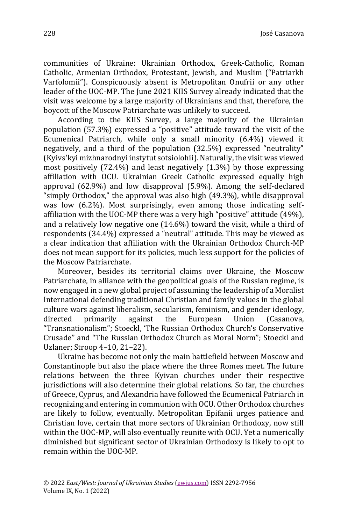José Casanova

communities of Ukraine: Ukrainian Orthodox, Greek-Catholic, Roman Catholic, Armenian Orthodox, Protestant, Jewish, and Muslim ("Patriarkh Varfolomii"). Conspicuously absent is Metropolitan Onufrii or any other leader of the UOC-MP. The June 2021 KIIS Survey already indicated that the visit was welcome by a large majority of Ukrainians and that, therefore, the boycott of the Moscow Patriarchate was unlikely to succeed.

According to the KIIS Survey, a large majority of the Ukrainian population (57.3%) expressed a "positive" attitude toward the visit of the Ecumenical Patriarch, while only a small minority (6.4%) viewed it negatively, and a third of the population (32.5%) expressed "neutrality" (Kyivs'kyi mizhnarodnyi instytut sotsiolohii).Naturally, the visit was viewed most positively (72.4%) and least negatively (1.3%) by those expressing affiliation with OCU. Ukrainian Greek Catholic expressed equally high approval (62.9%) and low disapproval (5.9%). Among the self-declared "simply Orthodox," the approval was also high (49.3%), while disapproval was low (6.2%). Most surprisingly, even among those indicating selfaffiliation with the UOC-MP there was a very high "positive" attitude (49%), and a relatively low negative one (14.6%) toward the visit, while a third of respondents (34.4%) expressed a "neutral" attitude. This may be viewed as a clear indication that affiliation with the Ukrainian Orthodox Church-MP does not mean support for its policies, much less support for the policies of the Moscow Patriarchate.

Moreover, besides its territorial claims over Ukraine, the Moscow Patriarchate, in alliance with the geopolitical goals of the Russian regime, is now engaged in a new global project of assuming the leadership of a Moralist International defending traditional Christian and family values in the global culture wars against liberalism, secularism, feminism, and gender ideology, directed primarily against the European Union (Casanova, "Transnationalism"; Stoeckl, 'The Russian Orthodox Church's Conservative Crusade" and "The Russian Orthodox Church as Moral Norm"; Stoeckl and Uzlaner; Stroop 4–10, 21–22).

Ukraine has become not only the main battlefield between Moscow and Constantinople but also the place where the three Romes meet. The future relations between the three Kyivan churches under their respective jurisdictions will also determine their global relations. So far, the churches of Greece, Cyprus, and Alexandria have followed the Ecumenical Patriarch in recognizing and entering in communion with OCU. Other Orthodox churches are likely to follow, eventually. Metropolitan Epifanii urges patience and Christian love, certain that more sectors of Ukrainian Orthodoxy, now still within the UOC-MP, will also eventually reunite with OCU. Yet a numerically diminished but significant sector of Ukrainian Orthodoxy is likely to opt to remain within the UOC-MP.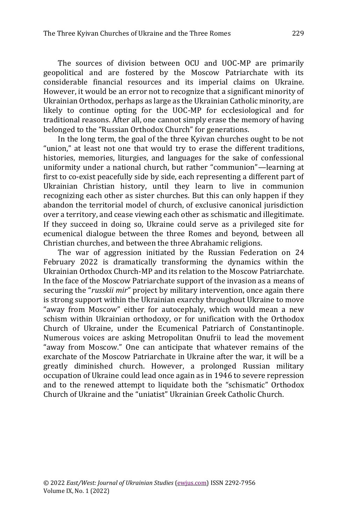The sources of division between OCU and UOC-MP are primarily geopolitical and are fostered by the Moscow Patriarchate with its considerable financial resources and its imperial claims on Ukraine. However, it would be an error not to recognize that a significant minority of Ukrainian Orthodox, perhaps as large as the Ukrainian Catholic minority, are likely to continue opting for the UOC-MP for ecclesiological and for traditional reasons. After all, one cannot simply erase the memory of having belonged to the "Russian Orthodox Church" for generations.

In the long term, the goal of the three Kyivan churches ought to be not "union," at least not one that would try to erase the different traditions, histories, memories, liturgies, and languages for the sake of confessional uniformity under a national church, but rather "communion"—learning at first to co-exist peacefully side by side, each representing a different part of Ukrainian Christian history, until they learn to live in communion recognizing each other as sister churches. But this can only happen if they abandon the territorial model of church, of exclusive canonical jurisdiction over a territory, and cease viewing each other as schismatic and illegitimate. If they succeed in doing so, Ukraine could serve as a privileged site for ecumenical dialogue between the three Romes and beyond, between all Christian churches, and between the three Abrahamic religions.

The war of aggression initiated by the Russian Federation on 24 February 2022 is dramatically transforming the dynamics within the Ukrainian Orthodox Church-MP and its relation to the Moscow Patriarchate. In the face of the Moscow Patriarchate support of the invasion as a means of securing the "*russkii mir*" project by military intervention, once again there is strong support within the Ukrainian exarchy throughout Ukraine to move "away from Moscow" either for autocephaly, which would mean a new schism within Ukrainian orthodoxy, or for unification with the Orthodox Church of Ukraine, under the Ecumenical Patriarch of Constantinople. Numerous voices are asking Metropolitan Onufrii to lead the movement "away from Moscow." One can anticipate that whatever remains of the exarchate of the Moscow Patriarchate in Ukraine after the war, it will be a greatly diminished church. However, a prolonged Russian military occupation of Ukraine could lead once again as in 1946 to severe repression and to the renewed attempt to liquidate both the "schismatic" Orthodox Church of Ukraine and the "uniatist" Ukrainian Greek Catholic Church.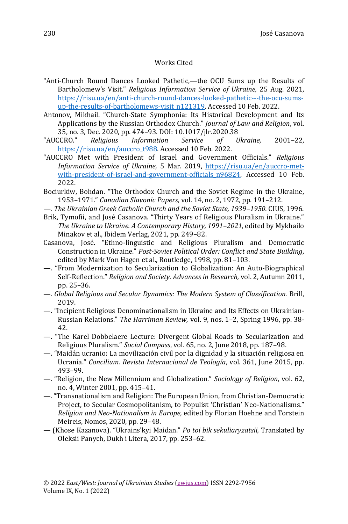## Works Cited

- "Anti-Church Round Dances Looked Pathetic,—the OCU Sums up the Results of Bartholomew's Visit." *Religious Information Service of Ukraine,* 25 Aug. 2021, [https://risu.ua/en/anti-church-round-dances-looked-pathetic---the-ocu-sums](https://risu.ua/en/anti-church-round-dances-looked-pathetic---the-ocu-sums-up-the-results-of-bartholomews-visit_n121319)[up-the-results-of-bartholomews-visit\\_n121319.](https://risu.ua/en/anti-church-round-dances-looked-pathetic---the-ocu-sums-up-the-results-of-bartholomews-visit_n121319) Accessed 10 Feb. 2022.
- Antonov, Mikhail. "Church-State Symphonia: Its Historical Development and Its Applications by the Russian Orthodox Church." *Journal of Law and Religion*, vol. 35, no. 3, Dec. 2020, pp. 474–93. DOI: 10.1017/jlr.2020.38
- "AUCCRO." *Religious Information Service of Ukraine,* 2001–22, [https://risu.ua/en/auccro\\_t988.](https://risu.ua/en/auccro_t988) Accessed 10 Feb. 2022.
- "AUCCRO Met with President of Israel and Government Officials." *Religious Information Service of Ukraine,* 5 Mar. 2019, [https://risu.ua/en/auccro-met](https://risu.ua/en/auccro-met-with-president-of-israel-and-government-officials_n96824)with-president-of-israel-and-government-officials n96824. Accessed 10 Feb. 2022.
- Bociurkiw, Bohdan. "The Orthodox Church and the Soviet Regime in the Ukraine, 1953–1971." *Canadian Slavonic Papers,* vol. 14, no. 2, 1972, pp. 191–212.
- *—. The Ukrainian Greek Catholic Church and the Soviet State, 1939–1950.* CIUS, 1996.
- Brik, Tymofii, and José Casanova. "Thirty Years of Religious Pluralism in Ukraine." *The Ukraine to Ukraine. A Contemporary History, 1991–2021,* edited by Mykhailo Minakov et al., Ibidem Verlag, 2021, pp. 249–82.
- Casanova, José. "Ethno-linguistic and Religious Pluralism and Democratic Construction in Ukraine." *Post-Soviet Political Order: Conflict and State Building*, edited by Mark Von Hagen et al., Routledge, 1998, pp. 81–103.
- —. "From Modernization to Secularization to Globalization: An Auto-Biographical Self-Reflection." *Religion and Society. Advances in Research,* vol. 2, Autumn 2011, pp. 25–36.
- —. *Global Religious and Secular Dynamics: The Modern System of Classification.* Brill, 2019.
- —. "Incipient Religious Denominationalism in Ukraine and Its Effects on Ukrainian-Russian Relations." *The Harriman Review,* vol. 9, nos. 1–2, Spring 1996, pp. 38- 42.
- —. "The Karel Dobbelaere Lecture: Divergent Global Roads to Secularization and Religious Pluralism." *Social Compass*, vol. 65, no. 2, June 2018, pp. 187–98.
- —. "Maidán ucranio: La movilización civil por la dignidad y la situación religiosa en Ucrania." *Concilium. Revista Internacional de Teología*, vol. 361, June 2015, pp. 493–99.
- —. "Religion, the New Millennium and Globalization." *Sociology of Religion*, vol. 62, no. 4, Winter 2001, pp. 415–41.
- —. "Transnationalism and Religion: The European Union, from Christian-Democratic Project, to Secular Cosmopolitanism, to Populist 'Christian' Neo-Nationalisms." *Religion and Neo-Nationalism in Europe,* edited by Florian Hoehne and Torstein Meireis, Nomos, 2020, pp. 29–48.
- (Khose Kazanova). "Ukrains'kyi Maidan." *Po toi bik sekuliaryzatsii,* Translated by Oleksii Panych, Dukh i Litera, 2017, pp. 253–62.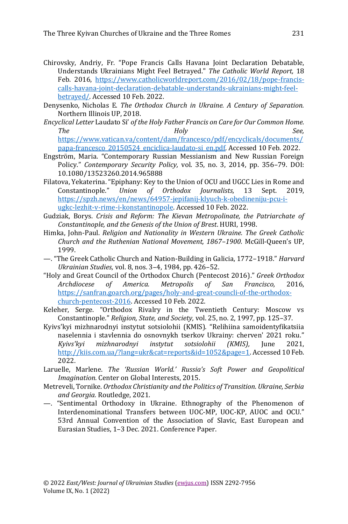- Chirovsky, Andriy, Fr. "Pope Francis Calls Havana Joint Declaration Debatable, Understands Ukrainians Might Feel Betrayed." *The Catholic World Report,* 18 Feb. 2016, [https://www.catholicworldreport.com/2016/02/18/pope-francis](https://www.catholicworldreport.com/2016/02/18/pope-francis-calls-havana-joint-declaration-debatable-understands-ukrainians-might-feel-betrayed/)[calls-havana-joint-declaration-debatable-understands-ukrainians-might-feel](https://www.catholicworldreport.com/2016/02/18/pope-francis-calls-havana-joint-declaration-debatable-understands-ukrainians-might-feel-betrayed/)[betrayed/.](https://www.catholicworldreport.com/2016/02/18/pope-francis-calls-havana-joint-declaration-debatable-understands-ukrainians-might-feel-betrayed/) Accessed 10 Feb. 2022.
- Denysenko, Nicholas E. *The Orthodox Church in Ukraine. A Century of Separation.*  Northern Illinois UP, 2018.
- *Encyclical Letter* Laudato Si' *of the Holy Father Francis on Care for Our Common Home. The Holy See,*  [https://www.vatican.va/content/dam/francesco/pdf/encyclicals/documents/](https://www.vatican.va/content/dam/francesco/pdf/encyclicals/documents/papa-francesco_20150524_enciclica-laudato-si_en.pdf) [papa-francesco\\_20150524\\_enciclica-laudato-si\\_en.pdf.](https://www.vatican.va/content/dam/francesco/pdf/encyclicals/documents/papa-francesco_20150524_enciclica-laudato-si_en.pdf) Accessed 10 Feb. 2022.
- Engström, Maria. "Contemporary Russian Messianism and New Russian Foreign Policy." *Contemporary Security Policy,* vol. 35, no. 3, 2014, pp. 356–79. DOI: 10.1080/13523260.2014.965888
- Filatova, Yekaterina. "Epiphany: Key to the Union of OCU and UGCC Lies in Rome and Constantinople." *Union of Orthodox Journalists,* 13 Sept. 2019, [https://spzh.news/en/news/64957-jepifanij-klyuch-k-obedineniju-pcu-i](https://spzh.news/en/news/64957-jepifanij-klyuch-k-obedineniju-pcu-i-ugkc-lezhit-v-rime-i-konstantinopole)[ugkc-lezhit-v-rime-i-konstantinopole.](https://spzh.news/en/news/64957-jepifanij-klyuch-k-obedineniju-pcu-i-ugkc-lezhit-v-rime-i-konstantinopole) Accessed 10 Feb. 2022.
- Gudziak, Borys. *Crisis and Reform: The Kievan Metropolinate, the Patriarchate of Constantinople, and the Genesis of the Union of Brest*. HURI, 1998.
- Himka, John-Paul. *Religion and Nationality in Western Ukraine. The Greek Catholic Church and the Ruthenian National Movement, 1867–1900.* McGill-Queen's UP, 1999.
- —. "The Greek Catholic Church and Nation-Building in Galicia, 1772–1918." *Harvard Ukrainian Studies,* vol. 8, nos. 3–4, 1984, pp. 426–52.
- "Holy and Great Council of the Orthodox Church (Pentecost 2016)." *Greek Orthodox Archdiocese of America. Metropolis of San Francisco,* 2016, [https://sanfran.goarch.org/pages/holy-and-great-councli-of-the-orthodox](https://sanfran.goarch.org/pages/holy-and-great-councli-of-the-orthodox-church-pentecost-2016)[church-pentecost-2016.](https://sanfran.goarch.org/pages/holy-and-great-councli-of-the-orthodox-church-pentecost-2016) Accessed 10 Feb. 2022.
- Keleher, Serge. "Orthodox Rivalry in the Twentieth Century: Moscow vs Constantinople." *Religion, State, and Society,* vol. 25, no. 2, 1997, pp. 125–37.
- Kyivs'kyi mizhnarodnyi instytut sotsiolohii (KMIS). "Relihiina samoidentyfikatsiia naselennia i stavlennia do osnovnykh tserkov Ukrainy: cherven' 2021 roku." *Kyivs'kyi mizhnarodnyi instytut sotsiolohii (KMIS),* June 2021, [http://kiis.com.ua/?lang=ukr&cat=reports&id=1052&page=1.](http://kiis.com.ua/?lang=ukr&cat=reports&id=1052&page=1)Accessed 10 Feb. 2022.
- Laruelle, Marlene. *The 'Russian World.' Russia's Soft Power and Geopolitical Imagination.* Center on Global Interests, 2015.
- Metreveli, Tornike. *Orthodox Christianity and the Politics of Transition. Ukraine, Serbia and Georgia.* Routledge, 2021.
- —. "Sentimental Orthodoxy in Ukraine. Ethnography of the Phenomenon of Interdenominational Transfers between UOC-MP, UOC-KP, AUOC and OCU." 53rd Annual Convention of the Association of Slavic, East European and Eurasian Studies, 1–3 Dec. 2021. Conference Paper.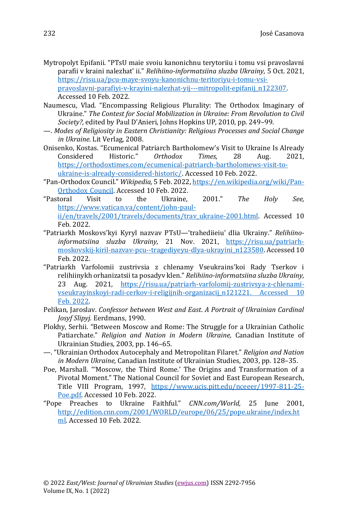- Mytropolyt Epifanii. "PTsU maie svoiu kanonichnu terytoriiu i tomu vsi pravoslavni parafii v kraini nalezhat' ii." *Relihiino-informatsiina sluzba Ukrainy,* 5 Oct. 2021, [https://risu.ua/pcu-maye-svoyu-kanonichnu-teritoriyu-i-tomu-vsi](https://risu.ua/pcu-maye-svoyu-kanonichnu-teritoriyu-i-tomu-vsi-pravoslavni-parafiyi-v-krayini-nalezhat-yij---mitropolit-epifanij_n122307)[pravoslavni-parafiyi-v-krayini-nalezhat-yij---mitropolit-epifanij\\_n122307.](https://risu.ua/pcu-maye-svoyu-kanonichnu-teritoriyu-i-tomu-vsi-pravoslavni-parafiyi-v-krayini-nalezhat-yij---mitropolit-epifanij_n122307) Accessed 10 Feb. 2022.
- Naumescu, Vlad. "Encompassing Religious Plurality: The Orthodox Imaginary of Ukraine." *The Contest for Social Mobilization in Ukraine: From Revolution to Civil Society?,* edited by Paul D'Anieri, Johns Hopkins UP, 2010, pp. 249–99.
- —. *Modes of Religiosity in Eastern Christianity: Religious Processes and Social Change in Ukraine.* Lit Verlag, 2008.
- Onisenko, Kostas. "Ecumenical Patriarch Bartholomew's Visit to Ukraine Is Already Considered Historic." *Orthodox Times,* 28 Aug. 2021, [https://orthodoxtimes.com/ecumenical-patriarch-bartholomews-visit-to](https://orthodoxtimes.com/ecumenical-patriarch-bartholomews-visit-to-ukraine-is-already-considered-historic/)[ukraine-is-already-considered-historic/.](https://orthodoxtimes.com/ecumenical-patriarch-bartholomews-visit-to-ukraine-is-already-considered-historic/) Accessed 10 Feb. 2022.
- "Pan-Orthodox Council." *Wikipedia,* 5 Feb. 2022[, https://en.wikipedia.org/wiki/Pan-](https://en.wikipedia.org/wiki/Pan-Orthodox_Council)[Orthodox\\_Council.](https://en.wikipedia.org/wiki/Pan-Orthodox_Council) Accessed 10 Feb. 2022.
- "Pastoral Visit to the Ukraine, 2001." *The Holy See,*  [https://www.vatican.va/content/john-paul](https://www.vatican.va/content/john-paul-ii/en/travels/2001/travels/documents/trav_ukraine-2001.html)[ii/en/travels/2001/travels/documents/trav\\_ukraine-2001.html.](https://www.vatican.va/content/john-paul-ii/en/travels/2001/travels/documents/trav_ukraine-2001.html) Accessed 10 Feb. 2022.
- "Patriarkh Moskovs'kyi Kyryl nazvav PTsU—'trahediieiu' dlia Ukrainy." *Relihiinoinformatsiina sluzba Ukrainy,* 21 Nov. 2021, [https://risu.ua/patriarh](https://risu.ua/patriarh-moskovskij-kiril-nazvav-pcu--tragediyeyu-dlya-ukrayini_n123580)[moskovskij-kiril-nazvav-pcu--tragediyeyu-dlya-ukrayini\\_n123580.](https://risu.ua/patriarh-moskovskij-kiril-nazvav-pcu--tragediyeyu-dlya-ukrayini_n123580) Accessed 10 Feb. 2022.
- "Patriarkh Varfolomii zustrivsia z chlenamy Vseukrains'koi Rady Tserkov i relihiinykh orhanizatsii ta posadyv klen." *Relihiino-informatsiina sluzba Ukrainy,* 23 Aug. 2021, [https://risu.ua/patriarh-varfolomij-zustrivsya-z-chlenami](https://risu.ua/patriarh-varfolomij-zustrivsya-z-chlenami-vseukrayinskoyi-radi-cerkov-i-religijnih-organizacij_n121221.%20Accessed%2010%20Feb.%202022)[vseukrayinskoyi-radi-cerkov-i-religijnih-organizacij\\_n121221. Accessed 10](https://risu.ua/patriarh-varfolomij-zustrivsya-z-chlenami-vseukrayinskoyi-radi-cerkov-i-religijnih-organizacij_n121221.%20Accessed%2010%20Feb.%202022)  [Feb. 2022.](https://risu.ua/patriarh-varfolomij-zustrivsya-z-chlenami-vseukrayinskoyi-radi-cerkov-i-religijnih-organizacij_n121221.%20Accessed%2010%20Feb.%202022)
- Pelikan, Jaroslav. *Confessor between West and East*. *A Portrait of Ukrainian Cardinal Josyf Slipyj.* Eerdmans, 1990.
- Plokhy, Serhii. "Between Moscow and Rome: The Struggle for a Ukrainian Catholic Patiarchate." *Religion and Nation in Modern Ukraine,* Canadian Institute of Ukrainian Studies, 2003, pp. 146–65.
- —. "Ukrainian Orthodox Autocephaly and Metropolitan Filaret." *Religion and Nation in Modern Ukraine,* Canadian Institute of Ukrainian Studies, 2003, pp. 128–35.
- Poe, Marshall. "'Moscow, the Third Rome.' The Origins and Transformation of a Pivotal Moment." The National Council for Soviet and East European Research, Title VIII Program, 1997, [https://www.ucis.pitt.edu/nceeer/1997-811-25-](https://www.ucis.pitt.edu/nceeer/1997-811-25-Poe.pdf) [Poe.pdf.](https://www.ucis.pitt.edu/nceeer/1997-811-25-Poe.pdf) Accessed 10 Feb. 2022.
- "Pope Preaches to Ukraine Faithful." *CNN.com/World,* 25 June 2001, [http://edition.cnn.com/2001/WORLD/europe/06/25/pope.ukraine/index.ht](http://edition.cnn.com/2001/WORLD/europe/06/25/pope.ukraine/index.html) [ml.](http://edition.cnn.com/2001/WORLD/europe/06/25/pope.ukraine/index.html) Accessed 10 Feb. 2022.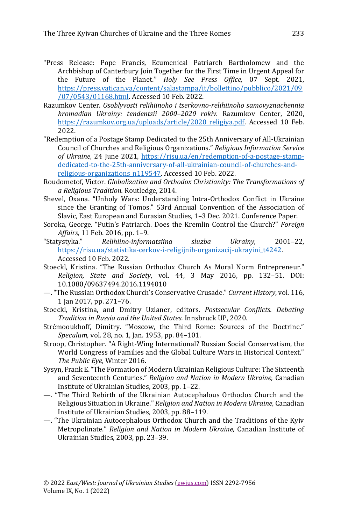- "Press Release: Pope Francis, Ecumenical Patriarch Bartholomew and the Archbishop of Canterbury Join Together for the First Time in Urgent Appeal for the Future of the Planet." *Holy See Press Office,* 07 Sept. 2021, [https://press.vatican.va/content/salastampa/it/bollettino/pubblico/2021/09](https://press.vatican.va/content/salastampa/it/bollettino/pubblico/2021/09/07/0543/01168.html) [/07/0543/01168.html.](https://press.vatican.va/content/salastampa/it/bollettino/pubblico/2021/09/07/0543/01168.html) Accessed 10 Feb. 2022.
- Razumkov Center. *Osoblyvosti relihiinoho i tserkovno-relihiinoho samovyznachennia hromadian Ukrainy: tendentsii 2000–2020 rokiv.* Razumkov Center, 2020, [https://razumkov.org.ua/uploads/article/2020\\_religiya.pdf.](https://razumkov.org.ua/uploads/article/2020_religiya.pdf) Accessed 10 Feb. 2022.
- "Redemption of a Postage Stamp Dedicated to the 25th Anniversary of All-Ukrainian Council of Churches and Religious Organizations." *Religious Information Service of Ukraine,* 24 June 2021, [https://risu.ua/en/redemption-of-a-postage-stamp](https://risu.ua/en/redemption-of-a-postage-stamp-dedicated-to-the-25th-anniversary-of-all-ukrainian-council-of-churches-and-religious-organizations_n119547)[dedicated-to-the-25th-anniversary-of-all-ukrainian-council-of-churches-and](https://risu.ua/en/redemption-of-a-postage-stamp-dedicated-to-the-25th-anniversary-of-all-ukrainian-council-of-churches-and-religious-organizations_n119547)[religious-organizations\\_n119547.](https://risu.ua/en/redemption-of-a-postage-stamp-dedicated-to-the-25th-anniversary-of-all-ukrainian-council-of-churches-and-religious-organizations_n119547) Accessed 10 Feb. 2022.
- Roudometof, Victor. *Globalization and Orthodox Christianity: The Transformations of a Religious Tradition.* Routledge, 2014.
- Shevel, Oxana. "Unholy Wars: Understanding Intra-Orthodox Conflict in Ukraine since the Granting of Tomos." 53rd Annual Convention of the Association of Slavic, East European and Eurasian Studies, 1–3 Dec. 2021. Conference Paper.
- Soroka, George. "Putin's Patriarch. Does the Kremlin Control the Church?" *Foreign Affairs,* 11 Feb. 2016, pp. 1–9.
- "Statystyka." *Relihiino-informatsiina sluzba Ukrainy,* 2001–22, [https://risu.ua/statistika-cerkov-i-religijnih-organizacij-ukrayini\\_t4242.](https://risu.ua/statistika-cerkov-i-religijnih-organizacij-ukrayini_t4242) Accessed 10 Feb. 2022.
- Stoeckl, Kristina. "The Russian Orthodox Church As Moral Norm Entrepreneur." *Religion, State and Society*, vol. 44, 3 May 2016, pp. 132–51. DOI: 10.1080/09637494.2016.1194010
- —. "The Russian Orthodox Church's Conservative Crusade." *Current History*, vol. 116, 1 Jan 2017, pp. 271–76.
- Stoeckl, Kristina, and Dmitry Uzlaner, editors. *Postsecular Conflicts. Debating Tradition in Russia and the United States.* Innsbruck UP, 2020.
- Strémooukhoff, Dimitry. "Moscow, the Third Rome: Sources of the Doctrine." *Speculum,* vol. 28, no. 1, Jan. 1953, pp. 84–101.
- Stroop, Christopher. "A Right-Wing International? Russian Social Conservatism, the World Congress of Families and the Global Culture Wars in Historical Context." *The Public Eye,* Winter 2016.
- Sysyn, Frank E. "The Formation of Modern Ukrainian Religious Culture: The Sixteenth and Seventeenth Centuries." *Religion and Nation in Modern Ukraine,* Canadian Institute of Ukrainian Studies, 2003, pp. 1–22.
- —. "The Third Rebirth of the Ukrainian Autocephalous Orthodox Church and the Religious Situation in Ukraine." *Religion and Nation in Modern Ukraine,* Canadian Institute of Ukrainian Studies, 2003, pp. 88–119.
- —. "The Ukrainian Autocephalous Orthodox Church and the Traditions of the Kyiv Metropolinate." *Religion and Nation in Modern Ukraine,* Canadian Institute of Ukrainian Studies, 2003, pp. 23–39.